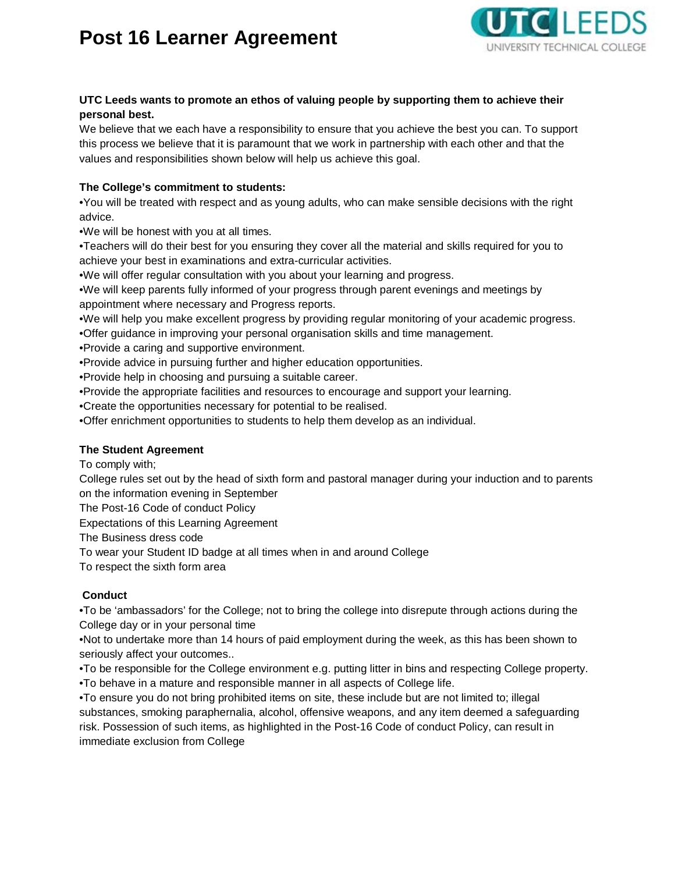# **Post 16 Learner Agreement**



## **UTC Leeds wants to promote an ethos of valuing people by supporting them to achieve their personal best.**

We believe that we each have a responsibility to ensure that you achieve the best you can. To support this process we believe that it is paramount that we work in partnership with each other and that the values and responsibilities shown below will help us achieve this goal.

## **The College's commitment to students:**

•You will be treated with respect and as young adults, who can make sensible decisions with the right advice.

•We will be honest with you at all times.

•Teachers will do their best for you ensuring they cover all the material and skills required for you to achieve your best in examinations and extra-curricular activities.

•We will offer regular consultation with you about your learning and progress.

•We will keep parents fully informed of your progress through parent evenings and meetings by appointment where necessary and Progress reports.

•We will help you make excellent progress by providing regular monitoring of your academic progress.

•Offer guidance in improving your personal organisation skills and time management.

•Provide a caring and supportive environment.

•Provide advice in pursuing further and higher education opportunities.

•Provide help in choosing and pursuing a suitable career.

•Provide the appropriate facilities and resources to encourage and support your learning.

•Create the opportunities necessary for potential to be realised.

•Offer enrichment opportunities to students to help them develop as an individual.

## **The Student Agreement**

To comply with;

College rules set out by the head of sixth form and pastoral manager during your induction and to parents on the information evening in September

The Post-16 Code of conduct Policy

Expectations of this Learning Agreement

The Business dress code

To wear your Student ID badge at all times when in and around College

To respect the sixth form area

## **Conduct**

•To be 'ambassadors' for the College; not to bring the college into disrepute through actions during the College day or in your personal time

•Not to undertake more than 14 hours of paid employment during the week, as this has been shown to seriously affect your outcomes..

•To be responsible for the College environment e.g. putting litter in bins and respecting College property.

•To behave in a mature and responsible manner in all aspects of College life.

•To ensure you do not bring prohibited items on site, these include but are not limited to; illegal substances, smoking paraphernalia, alcohol, offensive weapons, and any item deemed a safeguarding risk. Possession of such items, as highlighted in the Post-16 Code of conduct Policy, can result in immediate exclusion from College